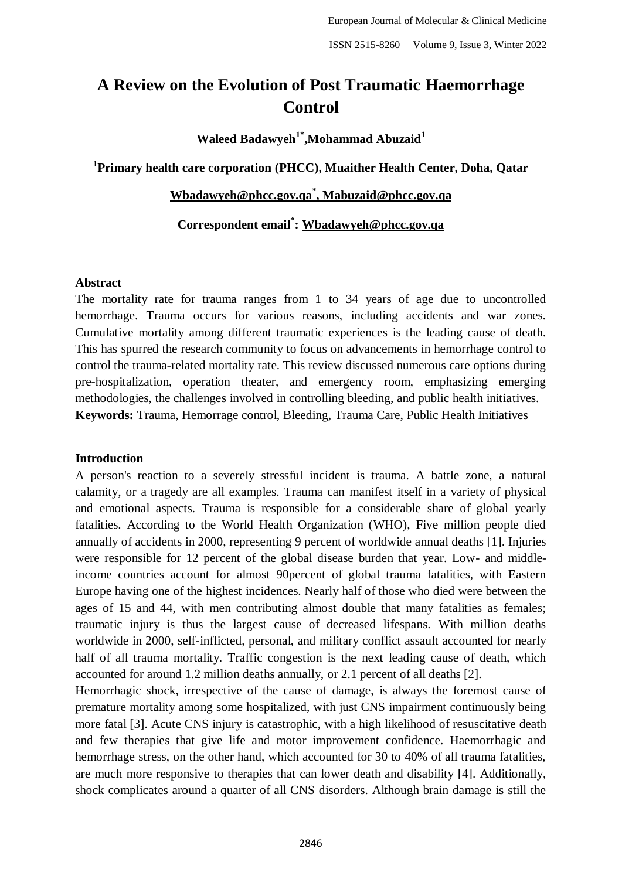# **A Review on the Evolution of Post Traumatic Haemorrhage Control**

**Waleed Badawyeh1\*,Mohammad Abuzaid<sup>1</sup>**

**1 Primary health care corporation (PHCC), Muaither Health Center, Doha, Qatar**

# **[Wbadawyeh@phcc.gov.qa](mailto:Wbadawyeh@phcc.gov.qa)\* [, Mabuzaid@phcc.gov.qa](mailto:Mabuzaid@phcc.gov.qa)**

**Correspondent email\* : [Wbadawyeh@phcc.gov.qa](mailto:Wbadawyeh@phcc.gov.qa)**

#### **Abstract**

The mortality rate for trauma ranges from 1 to 34 years of age due to uncontrolled hemorrhage. Trauma occurs for various reasons, including accidents and war zones. Cumulative mortality among different traumatic experiences is the leading cause of death. This has spurred the research community to focus on advancements in hemorrhage control to control the trauma-related mortality rate. This review discussed numerous care options during pre-hospitalization, operation theater, and emergency room, emphasizing emerging methodologies, the challenges involved in controlling bleeding, and public health initiatives. **Keywords:** Trauma, Hemorrage control, Bleeding, Trauma Care, Public Health Initiatives

### **Introduction**

A person's reaction to a severely stressful incident is trauma. A battle zone, a natural calamity, or a tragedy are all examples. Trauma can manifest itself in a variety of physical and emotional aspects. Trauma is responsible for a considerable share of global yearly fatalities. According to the World Health Organization (WHO), Five million people died annually of accidents in 2000, representing 9 percent of worldwide annual deaths [1]. Injuries were responsible for 12 percent of the global disease burden that year. Low- and middleincome countries account for almost 90percent of global trauma fatalities, with Eastern Europe having one of the highest incidences. Nearly half of those who died were between the ages of 15 and 44, with men contributing almost double that many fatalities as females; traumatic injury is thus the largest cause of decreased lifespans. With million deaths worldwide in 2000, self-inflicted, personal, and military conflict assault accounted for nearly half of all trauma mortality. Traffic congestion is the next leading cause of death, which accounted for around 1.2 million deaths annually, or 2.1 percent of all deaths [2].

Hemorrhagic shock, irrespective of the cause of damage, is always the foremost cause of premature mortality among some hospitalized, with just CNS impairment continuously being more fatal [3]. Acute CNS injury is catastrophic, with a high likelihood of resuscitative death and few therapies that give life and motor improvement confidence. Haemorrhagic and hemorrhage stress, on the other hand, which accounted for 30 to 40% of all trauma fatalities, are much more responsive to therapies that can lower death and disability [4]. Additionally, shock complicates around a quarter of all CNS disorders. Although brain damage is still the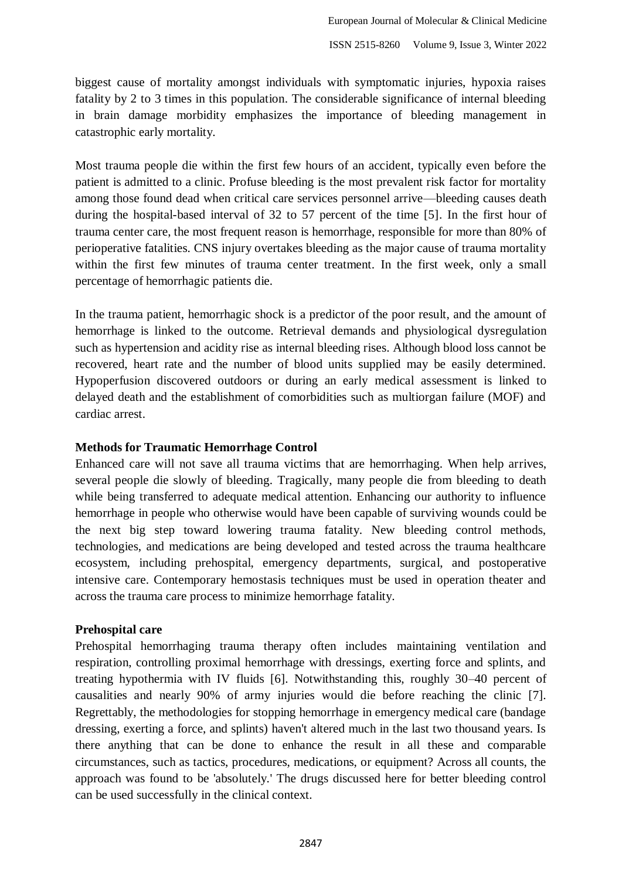biggest cause of mortality amongst individuals with symptomatic injuries, hypoxia raises fatality by 2 to 3 times in this population. The considerable significance of internal bleeding in brain damage morbidity emphasizes the importance of bleeding management in catastrophic early mortality.

Most trauma people die within the first few hours of an accident, typically even before the patient is admitted to a clinic. Profuse bleeding is the most prevalent risk factor for mortality among those found dead when critical care services personnel arrive—bleeding causes death during the hospital-based interval of 32 to 57 percent of the time [5]. In the first hour of trauma center care, the most frequent reason is hemorrhage, responsible for more than 80% of perioperative fatalities. CNS injury overtakes bleeding as the major cause of trauma mortality within the first few minutes of trauma center treatment. In the first week, only a small percentage of hemorrhagic patients die.

In the trauma patient, hemorrhagic shock is a predictor of the poor result, and the amount of hemorrhage is linked to the outcome. Retrieval demands and physiological dysregulation such as hypertension and acidity rise as internal bleeding rises. Although blood loss cannot be recovered, heart rate and the number of blood units supplied may be easily determined. Hypoperfusion discovered outdoors or during an early medical assessment is linked to delayed death and the establishment of comorbidities such as multiorgan failure (MOF) and cardiac arrest.

### **Methods for Traumatic Hemorrhage Control**

Enhanced care will not save all trauma victims that are hemorrhaging. When help arrives, several people die slowly of bleeding. Tragically, many people die from bleeding to death while being transferred to adequate medical attention. Enhancing our authority to influence hemorrhage in people who otherwise would have been capable of surviving wounds could be the next big step toward lowering trauma fatality. New bleeding control methods, technologies, and medications are being developed and tested across the trauma healthcare ecosystem, including prehospital, emergency departments, surgical, and postoperative intensive care. Contemporary hemostasis techniques must be used in operation theater and across the trauma care process to minimize hemorrhage fatality.

#### **Prehospital care**

Prehospital hemorrhaging trauma therapy often includes maintaining ventilation and respiration, controlling proximal hemorrhage with dressings, exerting force and splints, and treating hypothermia with IV fluids [6]. Notwithstanding this, roughly 30–40 percent of causalities and nearly 90% of army injuries would die before reaching the clinic [7]. Regrettably, the methodologies for stopping hemorrhage in emergency medical care (bandage dressing, exerting a force, and splints) haven't altered much in the last two thousand years. Is there anything that can be done to enhance the result in all these and comparable circumstances, such as tactics, procedures, medications, or equipment? Across all counts, the approach was found to be 'absolutely.' The drugs discussed here for better bleeding control can be used successfully in the clinical context.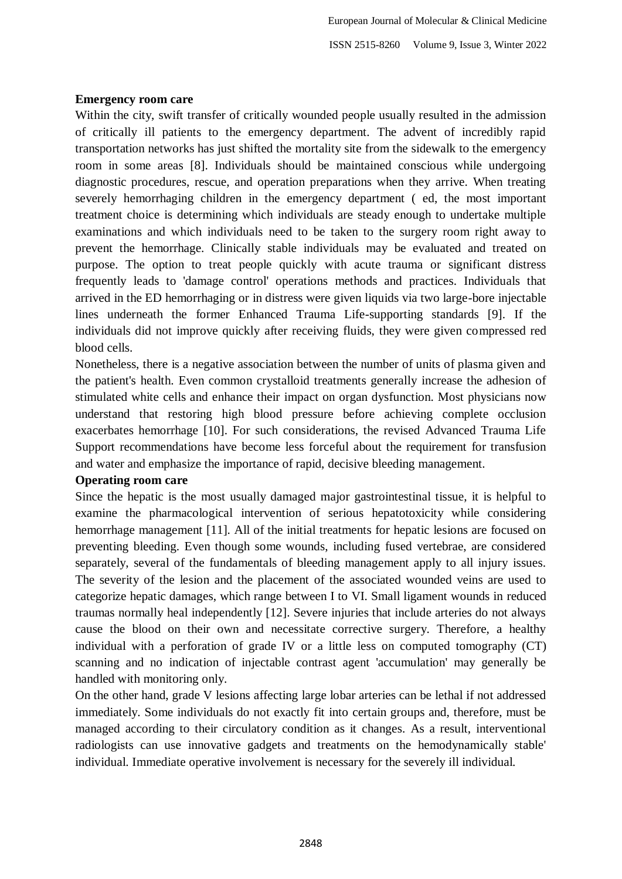### **Emergency room care**

Within the city, swift transfer of critically wounded people usually resulted in the admission of critically ill patients to the emergency department. The advent of incredibly rapid transportation networks has just shifted the mortality site from the sidewalk to the emergency room in some areas [8]. Individuals should be maintained conscious while undergoing diagnostic procedures, rescue, and operation preparations when they arrive. When treating severely hemorrhaging children in the emergency department ( ed, the most important treatment choice is determining which individuals are steady enough to undertake multiple examinations and which individuals need to be taken to the surgery room right away to prevent the hemorrhage. Clinically stable individuals may be evaluated and treated on purpose. The option to treat people quickly with acute trauma or significant distress frequently leads to 'damage control' operations methods and practices. Individuals that arrived in the ED hemorrhaging or in distress were given liquids via two large-bore injectable lines underneath the former Enhanced Trauma Life-supporting standards [9]. If the individuals did not improve quickly after receiving fluids, they were given compressed red blood cells.

Nonetheless, there is a negative association between the number of units of plasma given and the patient's health. Even common crystalloid treatments generally increase the adhesion of stimulated white cells and enhance their impact on organ dysfunction. Most physicians now understand that restoring high blood pressure before achieving complete occlusion exacerbates hemorrhage [10]. For such considerations, the revised Advanced Trauma Life Support recommendations have become less forceful about the requirement for transfusion and water and emphasize the importance of rapid, decisive bleeding management.

### **Operating room care**

Since the hepatic is the most usually damaged major gastrointestinal tissue, it is helpful to examine the pharmacological intervention of serious hepatotoxicity while considering hemorrhage management [11]. All of the initial treatments for hepatic lesions are focused on preventing bleeding. Even though some wounds, including fused vertebrae, are considered separately, several of the fundamentals of bleeding management apply to all injury issues. The severity of the lesion and the placement of the associated wounded veins are used to categorize hepatic damages, which range between I to VI. Small ligament wounds in reduced traumas normally heal independently [12]. Severe injuries that include arteries do not always cause the blood on their own and necessitate corrective surgery. Therefore, a healthy individual with a perforation of grade IV or a little less on computed tomography (CT) scanning and no indication of injectable contrast agent 'accumulation' may generally be handled with monitoring only.

On the other hand, grade V lesions affecting large lobar arteries can be lethal if not addressed immediately. Some individuals do not exactly fit into certain groups and, therefore, must be managed according to their circulatory condition as it changes. As a result, interventional radiologists can use innovative gadgets and treatments on the hemodynamically stable' individual. Immediate operative involvement is necessary for the severely ill individual.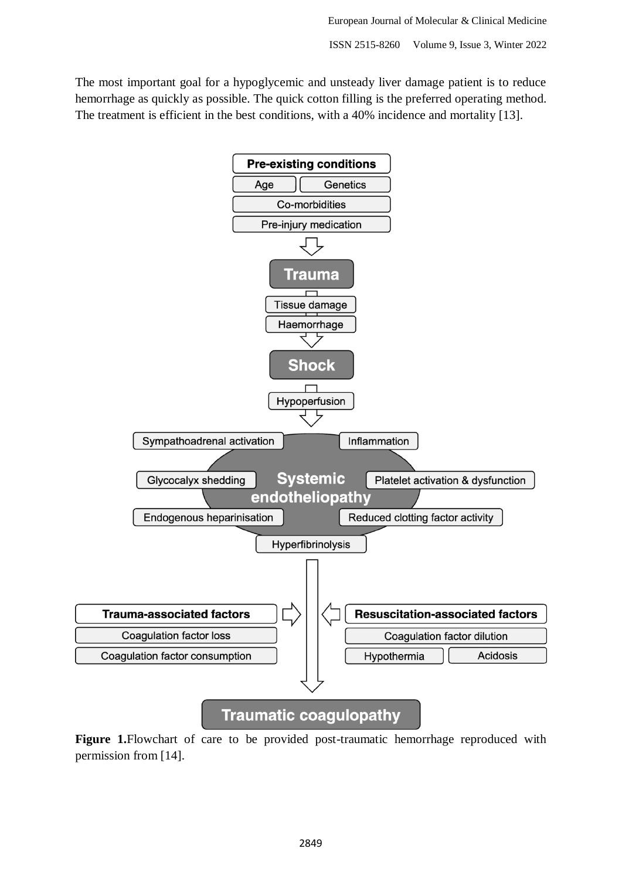The most important goal for a hypoglycemic and unsteady liver damage patient is to reduce hemorrhage as quickly as possible. The quick cotton filling is the preferred operating method. The treatment is efficient in the best conditions, with a 40% incidence and mortality [13].



**Figure 1.**Flowchart of care to be provided post-traumatic hemorrhage reproduced with permission from [14].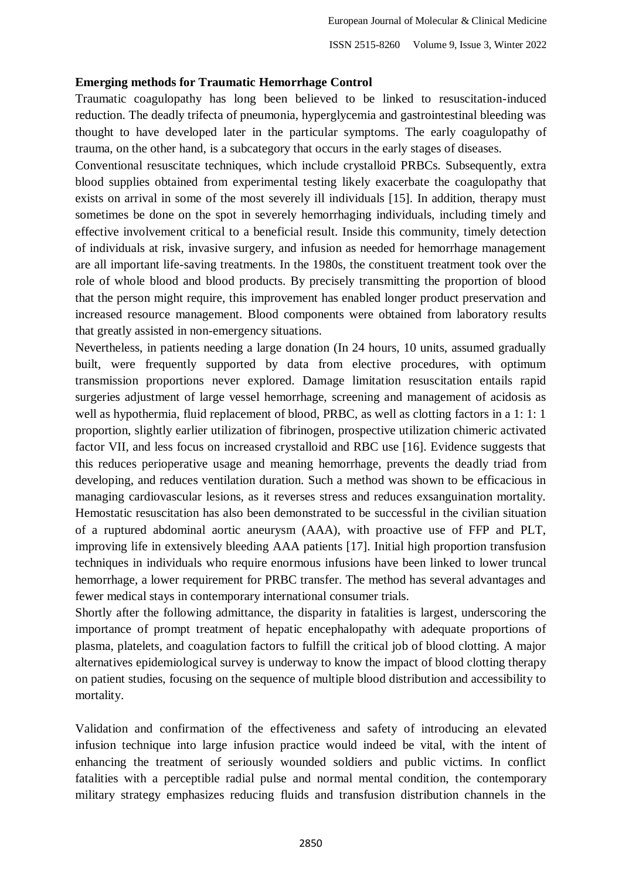#### **Emerging methods for Traumatic Hemorrhage Control**

Traumatic coagulopathy has long been believed to be linked to resuscitation-induced reduction. The deadly trifecta of pneumonia, hyperglycemia and gastrointestinal bleeding was thought to have developed later in the particular symptoms. The early coagulopathy of trauma, on the other hand, is a subcategory that occurs in the early stages of diseases.

Conventional resuscitate techniques, which include crystalloid PRBCs. Subsequently, extra blood supplies obtained from experimental testing likely exacerbate the coagulopathy that exists on arrival in some of the most severely ill individuals [15]. In addition, therapy must sometimes be done on the spot in severely hemorrhaging individuals, including timely and effective involvement critical to a beneficial result. Inside this community, timely detection of individuals at risk, invasive surgery, and infusion as needed for hemorrhage management are all important life-saving treatments. In the 1980s, the constituent treatment took over the role of whole blood and blood products. By precisely transmitting the proportion of blood that the person might require, this improvement has enabled longer product preservation and increased resource management. Blood components were obtained from laboratory results that greatly assisted in non-emergency situations.

Nevertheless, in patients needing a large donation (In 24 hours, 10 units, assumed gradually built, were frequently supported by data from elective procedures, with optimum transmission proportions never explored. Damage limitation resuscitation entails rapid surgeries adjustment of large vessel hemorrhage, screening and management of acidosis as well as hypothermia, fluid replacement of blood, PRBC, as well as clotting factors in a 1: 1: 1 proportion, slightly earlier utilization of fibrinogen, prospective utilization chimeric activated factor VII, and less focus on increased crystalloid and RBC use [16]. Evidence suggests that this reduces perioperative usage and meaning hemorrhage, prevents the deadly triad from developing, and reduces ventilation duration. Such a method was shown to be efficacious in managing cardiovascular lesions, as it reverses stress and reduces exsanguination mortality. Hemostatic resuscitation has also been demonstrated to be successful in the civilian situation of a ruptured abdominal aortic aneurysm (AAA), with proactive use of FFP and PLT, improving life in extensively bleeding AAA patients [17]. Initial high proportion transfusion techniques in individuals who require enormous infusions have been linked to lower truncal hemorrhage, a lower requirement for PRBC transfer. The method has several advantages and fewer medical stays in contemporary international consumer trials.

Shortly after the following admittance, the disparity in fatalities is largest, underscoring the importance of prompt treatment of hepatic encephalopathy with adequate proportions of plasma, platelets, and coagulation factors to fulfill the critical job of blood clotting. A major alternatives epidemiological survey is underway to know the impact of blood clotting therapy on patient studies, focusing on the sequence of multiple blood distribution and accessibility to mortality.

Validation and confirmation of the effectiveness and safety of introducing an elevated infusion technique into large infusion practice would indeed be vital, with the intent of enhancing the treatment of seriously wounded soldiers and public victims. In conflict fatalities with a perceptible radial pulse and normal mental condition, the contemporary military strategy emphasizes reducing fluids and transfusion distribution channels in the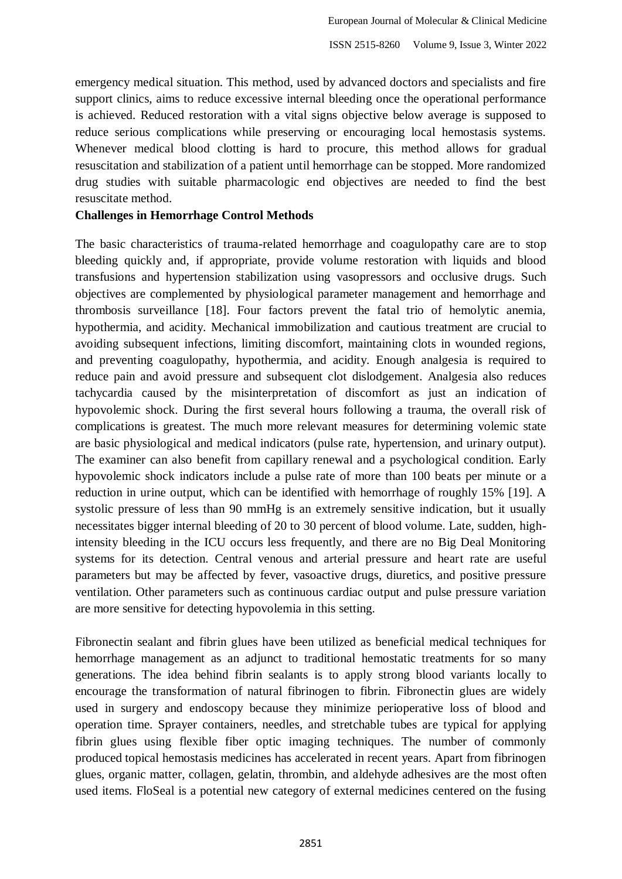emergency medical situation. This method, used by advanced doctors and specialists and fire support clinics, aims to reduce excessive internal bleeding once the operational performance is achieved. Reduced restoration with a vital signs objective below average is supposed to reduce serious complications while preserving or encouraging local hemostasis systems. Whenever medical blood clotting is hard to procure, this method allows for gradual resuscitation and stabilization of a patient until hemorrhage can be stopped. More randomized drug studies with suitable pharmacologic end objectives are needed to find the best resuscitate method.

# **Challenges in Hemorrhage Control Methods**

The basic characteristics of trauma-related hemorrhage and coagulopathy care are to stop bleeding quickly and, if appropriate, provide volume restoration with liquids and blood transfusions and hypertension stabilization using vasopressors and occlusive drugs. Such objectives are complemented by physiological parameter management and hemorrhage and thrombosis surveillance [18]. Four factors prevent the fatal trio of hemolytic anemia, hypothermia, and acidity. Mechanical immobilization and cautious treatment are crucial to avoiding subsequent infections, limiting discomfort, maintaining clots in wounded regions, and preventing coagulopathy, hypothermia, and acidity. Enough analgesia is required to reduce pain and avoid pressure and subsequent clot dislodgement. Analgesia also reduces tachycardia caused by the misinterpretation of discomfort as just an indication of hypovolemic shock. During the first several hours following a trauma, the overall risk of complications is greatest. The much more relevant measures for determining volemic state are basic physiological and medical indicators (pulse rate, hypertension, and urinary output). The examiner can also benefit from capillary renewal and a psychological condition. Early hypovolemic shock indicators include a pulse rate of more than 100 beats per minute or a reduction in urine output, which can be identified with hemorrhage of roughly 15% [19]. A systolic pressure of less than 90 mmHg is an extremely sensitive indication, but it usually necessitates bigger internal bleeding of 20 to 30 percent of blood volume. Late, sudden, highintensity bleeding in the ICU occurs less frequently, and there are no Big Deal Monitoring systems for its detection. Central venous and arterial pressure and heart rate are useful parameters but may be affected by fever, vasoactive drugs, diuretics, and positive pressure ventilation. Other parameters such as continuous cardiac output and pulse pressure variation are more sensitive for detecting hypovolemia in this setting.

Fibronectin sealant and fibrin glues have been utilized as beneficial medical techniques for hemorrhage management as an adjunct to traditional hemostatic treatments for so many generations. The idea behind fibrin sealants is to apply strong blood variants locally to encourage the transformation of natural fibrinogen to fibrin. Fibronectin glues are widely used in surgery and endoscopy because they minimize perioperative loss of blood and operation time. Sprayer containers, needles, and stretchable tubes are typical for applying fibrin glues using flexible fiber optic imaging techniques. The number of commonly produced topical hemostasis medicines has accelerated in recent years. Apart from fibrinogen glues, organic matter, collagen, gelatin, thrombin, and aldehyde adhesives are the most often used items. FloSeal is a potential new category of external medicines centered on the fusing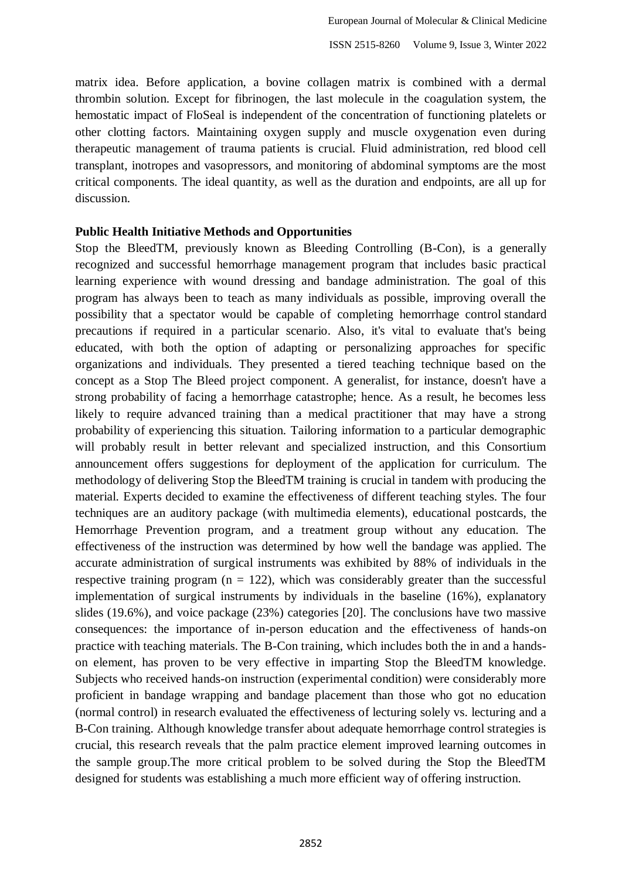matrix idea. Before application, a bovine collagen matrix is combined with a dermal thrombin solution. Except for fibrinogen, the last molecule in the coagulation system, the hemostatic impact of FloSeal is independent of the concentration of functioning platelets or other clotting factors. Maintaining oxygen supply and muscle oxygenation even during therapeutic management of trauma patients is crucial. Fluid administration, red blood cell transplant, inotropes and vasopressors, and monitoring of abdominal symptoms are the most critical components. The ideal quantity, as well as the duration and endpoints, are all up for discussion.

## **Public Health Initiative Methods and Opportunities**

Stop the BleedTM, previously known as Bleeding Controlling (B-Con), is a generally recognized and successful hemorrhage management program that includes basic practical learning experience with wound dressing and bandage administration. The goal of this program has always been to teach as many individuals as possible, improving overall the possibility that a spectator would be capable of completing hemorrhage control standard precautions if required in a particular scenario. Also, it's vital to evaluate that's being educated, with both the option of adapting or personalizing approaches for specific organizations and individuals. They presented a tiered teaching technique based on the concept as a Stop The Bleed project component. A generalist, for instance, doesn't have a strong probability of facing a hemorrhage catastrophe; hence. As a result, he becomes less likely to require advanced training than a medical practitioner that may have a strong probability of experiencing this situation. Tailoring information to a particular demographic will probably result in better relevant and specialized instruction, and this Consortium announcement offers suggestions for deployment of the application for curriculum. The methodology of delivering Stop the BleedTM training is crucial in tandem with producing the material. Experts decided to examine the effectiveness of different teaching styles. The four techniques are an auditory package (with multimedia elements), educational postcards, the Hemorrhage Prevention program, and a treatment group without any education. The effectiveness of the instruction was determined by how well the bandage was applied. The accurate administration of surgical instruments was exhibited by 88% of individuals in the respective training program ( $n = 122$ ), which was considerably greater than the successful implementation of surgical instruments by individuals in the baseline (16%), explanatory slides (19.6%), and voice package (23%) categories [20]. The conclusions have two massive consequences: the importance of in-person education and the effectiveness of hands-on practice with teaching materials. The B-Con training, which includes both the in and a handson element, has proven to be very effective in imparting Stop the BleedTM knowledge. Subjects who received hands-on instruction (experimental condition) were considerably more proficient in bandage wrapping and bandage placement than those who got no education (normal control) in research evaluated the effectiveness of lecturing solely vs. lecturing and a B-Con training. Although knowledge transfer about adequate hemorrhage control strategies is crucial, this research reveals that the palm practice element improved learning outcomes in the sample group.The more critical problem to be solved during the Stop the BleedTM designed for students was establishing a much more efficient way of offering instruction.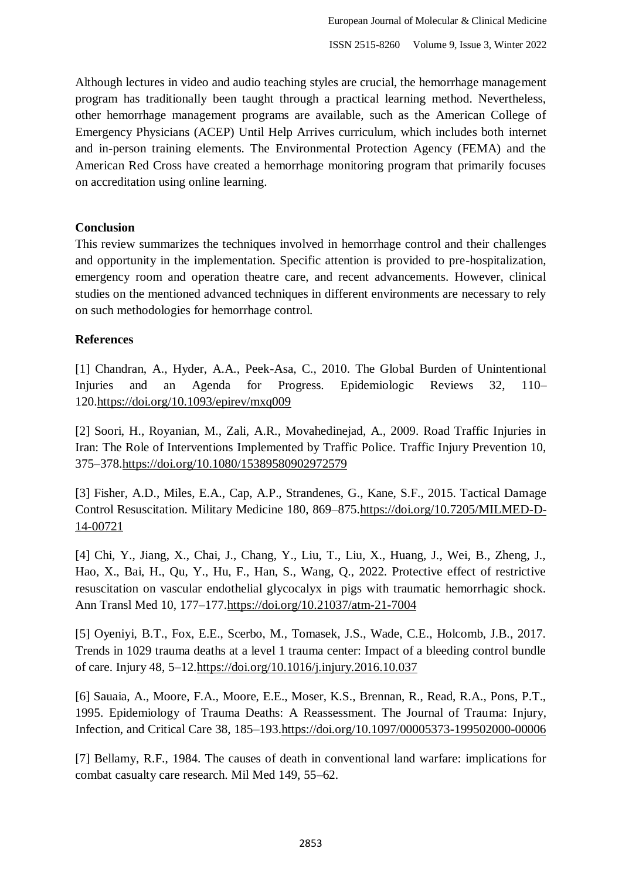Although lectures in video and audio teaching styles are crucial, the hemorrhage management program has traditionally been taught through a practical learning method. Nevertheless, other hemorrhage management programs are available, such as the American College of Emergency Physicians (ACEP) Until Help Arrives curriculum, which includes both internet and in-person training elements. The Environmental Protection Agency (FEMA) and the American Red Cross have created a hemorrhage monitoring program that primarily focuses on accreditation using online learning.

### **Conclusion**

This review summarizes the techniques involved in hemorrhage control and their challenges and opportunity in the implementation. Specific attention is provided to pre-hospitalization, emergency room and operation theatre care, and recent advancements. However, clinical studies on the mentioned advanced techniques in different environments are necessary to rely on such methodologies for hemorrhage control.

## **References**

[1] Chandran, A., Hyder, A.A., Peek-Asa, C., 2010. The Global Burden of Unintentional Injuries and an Agenda for Progress. Epidemiologic Reviews 32, 110– 120[.https://doi.org/10.1093/epirev/mxq009](https://doi.org/10.1093/epirev/mxq009)

[2] Soori, H., Royanian, M., Zali, A.R., Movahedinejad, A., 2009. Road Traffic Injuries in Iran: The Role of Interventions Implemented by Traffic Police. Traffic Injury Prevention 10, 375–378[.https://doi.org/10.1080/15389580902972579](https://doi.org/10.1080/15389580902972579)

[3] Fisher, A.D., Miles, E.A., Cap, A.P., Strandenes, G., Kane, S.F., 2015. Tactical Damage Control Resuscitation. Military Medicine 180, 869–875[.https://doi.org/10.7205/MILMED-D-](https://doi.org/10.7205/MILMED-D-14-00721)[14-00721](https://doi.org/10.7205/MILMED-D-14-00721)

[4] Chi, Y., Jiang, X., Chai, J., Chang, Y., Liu, T., Liu, X., Huang, J., Wei, B., Zheng, J., Hao, X., Bai, H., Qu, Y., Hu, F., Han, S., Wang, Q., 2022. Protective effect of restrictive resuscitation on vascular endothelial glycocalyx in pigs with traumatic hemorrhagic shock. Ann Transl Med 10, 177–177[.https://doi.org/10.21037/atm-21-7004](https://doi.org/10.21037/atm-21-7004)

[5] Oyeniyi, B.T., Fox, E.E., Scerbo, M., Tomasek, J.S., Wade, C.E., Holcomb, J.B., 2017. Trends in 1029 trauma deaths at a level 1 trauma center: Impact of a bleeding control bundle of care. Injury 48, 5–12[.https://doi.org/10.1016/j.injury.2016.10.037](https://doi.org/10.1016/j.injury.2016.10.037)

[6] Sauaia, A., Moore, F.A., Moore, E.E., Moser, K.S., Brennan, R., Read, R.A., Pons, P.T., 1995. Epidemiology of Trauma Deaths: A Reassessment. The Journal of Trauma: Injury, Infection, and Critical Care 38, 185–193[.https://doi.org/10.1097/00005373-199502000-00006](https://doi.org/10.1097/00005373-199502000-00006)

[7] Bellamy, R.F., 1984. The causes of death in conventional land warfare: implications for combat casualty care research. Mil Med 149, 55–62.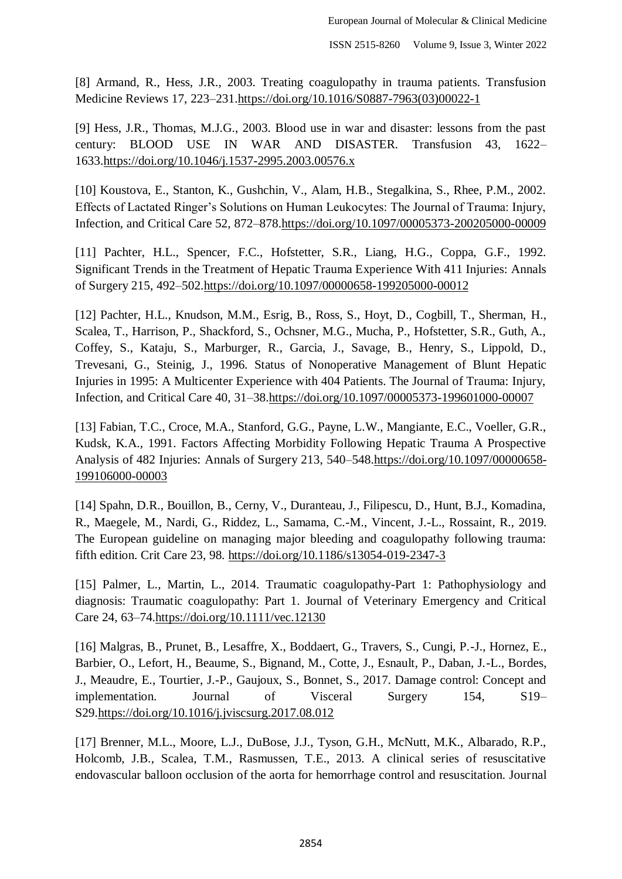[8] Armand, R., Hess, J.R., 2003. Treating coagulopathy in trauma patients. Transfusion Medicine Reviews 17, 223–231[.https://doi.org/10.1016/S0887-7963\(03\)00022-1](https://doi.org/10.1016/S0887-7963(03)00022-1)

[9] Hess, J.R., Thomas, M.J.G., 2003. Blood use in war and disaster: lessons from the past century: BLOOD USE IN WAR AND DISASTER. Transfusion 43, 1622– 1633[.https://doi.org/10.1046/j.1537-2995.2003.00576.x](https://doi.org/10.1046/j.1537-2995.2003.00576.x)

[10] Koustova, E., Stanton, K., Gushchin, V., Alam, H.B., Stegalkina, S., Rhee, P.M., 2002. Effects of Lactated Ringer's Solutions on Human Leukocytes: The Journal of Trauma: Injury, Infection, and Critical Care 52, 872–878[.https://doi.org/10.1097/00005373-200205000-00009](https://doi.org/10.1097/00005373-200205000-00009)

[11] Pachter, H.L., Spencer, F.C., Hofstetter, S.R., Liang, H.G., Coppa, G.F., 1992. Significant Trends in the Treatment of Hepatic Trauma Experience With 411 Injuries: Annals of Surgery 215, 492–502[.https://doi.org/10.1097/00000658-199205000-00012](https://doi.org/10.1097/00000658-199205000-00012)

[12] Pachter, H.L., Knudson, M.M., Esrig, B., Ross, S., Hoyt, D., Cogbill, T., Sherman, H., Scalea, T., Harrison, P., Shackford, S., Ochsner, M.G., Mucha, P., Hofstetter, S.R., Guth, A., Coffey, S., Kataju, S., Marburger, R., Garcia, J., Savage, B., Henry, S., Lippold, D., Trevesani, G., Steinig, J., 1996. Status of Nonoperative Management of Blunt Hepatic Injuries in 1995: A Multicenter Experience with 404 Patients. The Journal of Trauma: Injury, Infection, and Critical Care 40, 31–38[.https://doi.org/10.1097/00005373-199601000-00007](https://doi.org/10.1097/00005373-199601000-00007)

[13] Fabian, T.C., Croce, M.A., Stanford, G.G., Payne, L.W., Mangiante, E.C., Voeller, G.R., Kudsk, K.A., 1991. Factors Affecting Morbidity Following Hepatic Trauma A Prospective Analysis of 482 Injuries: Annals of Surgery 213, 540–548[.https://doi.org/10.1097/00000658-](https://doi.org/10.1097/00000658-199106000-00003) [199106000-00003](https://doi.org/10.1097/00000658-199106000-00003)

[14] Spahn, D.R., Bouillon, B., Cerny, V., Duranteau, J., Filipescu, D., Hunt, B.J., Komadina, R., Maegele, M., Nardi, G., Riddez, L., Samama, C.-M., Vincent, J.-L., Rossaint, R., 2019. The European guideline on managing major bleeding and coagulopathy following trauma: fifth edition. Crit Care 23, 98.<https://doi.org/10.1186/s13054-019-2347-3>

[15] Palmer, L., Martin, L., 2014. Traumatic coagulopathy-Part 1: Pathophysiology and diagnosis: Traumatic coagulopathy: Part 1. Journal of Veterinary Emergency and Critical Care 24, 63–74[.https://doi.org/10.1111/vec.12130](https://doi.org/10.1111/vec.12130)

[16] Malgras, B., Prunet, B., Lesaffre, X., Boddaert, G., Travers, S., Cungi, P.-J., Hornez, E., Barbier, O., Lefort, H., Beaume, S., Bignand, M., Cotte, J., Esnault, P., Daban, J.-L., Bordes, J., Meaudre, E., Tourtier, J.-P., Gaujoux, S., Bonnet, S., 2017. Damage control: Concept and implementation. Journal of Visceral Surgery 154, S19– S29[.https://doi.org/10.1016/j.jviscsurg.2017.08.012](https://doi.org/10.1016/j.jviscsurg.2017.08.012)

[17] Brenner, M.L., Moore, L.J., DuBose, J.J., Tyson, G.H., McNutt, M.K., Albarado, R.P., Holcomb, J.B., Scalea, T.M., Rasmussen, T.E., 2013. A clinical series of resuscitative endovascular balloon occlusion of the aorta for hemorrhage control and resuscitation. Journal